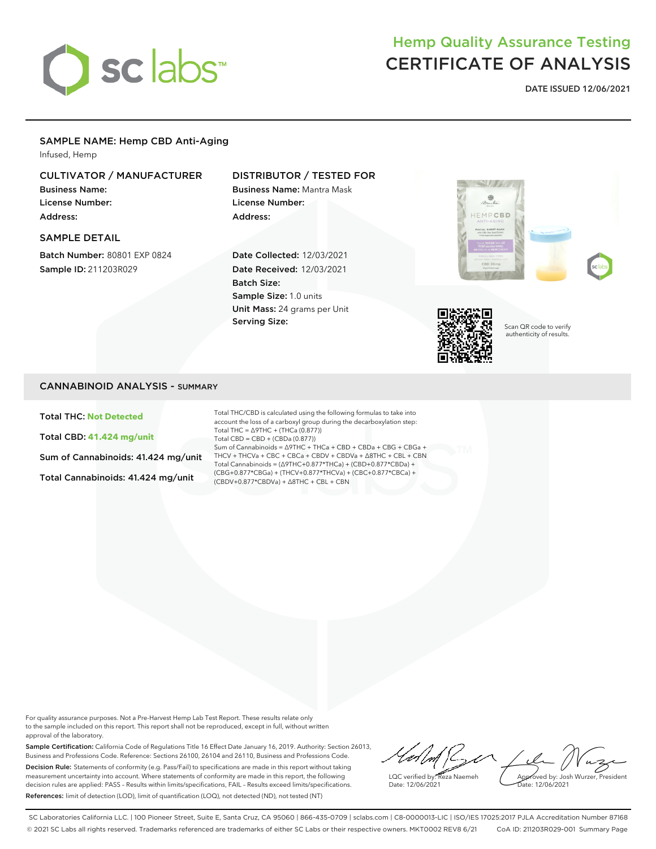

# Hemp Quality Assurance Testing CERTIFICATE OF ANALYSIS

DATE ISSUED 12/06/2021

# SAMPLE NAME: Hemp CBD Anti-Aging

Infused, Hemp

# CULTIVATOR / MANUFACTURER

Business Name: License Number: Address:

SAMPLE DETAIL

Batch Number: 80801 EXP 0824 Sample ID: 211203R029

# DISTRIBUTOR / TESTED FOR

Business Name: Mantra Mask License Number: Address:

Date Collected: 12/03/2021 Date Received: 12/03/2021 Batch Size: Sample Size: 1.0 units Unit Mass: 24 grams per Unit Serving Size:





Scan QR code to verify authenticity of results.

## CANNABINOID ANALYSIS - SUMMARY

Total THC: **Not Detected**

Total CBD: **41.424 mg/unit**

Sum of Cannabinoids: 41.424 mg/unit

Total Cannabinoids: 41.424 mg/unit

Total THC/CBD is calculated using the following formulas to take into account the loss of a carboxyl group during the decarboxylation step: Total THC = ∆9THC + (THCa (0.877)) Total CBD = CBD + (CBDa (0.877)) Sum of Cannabinoids = ∆9THC + THCa + CBD + CBDa + CBG + CBGa + THCV + THCVa + CBC + CBCa + CBDV + CBDVa + ∆8THC + CBL + CBN Total Cannabinoids = (∆9THC+0.877\*THCa) + (CBD+0.877\*CBDa) + (CBG+0.877\*CBGa) + (THCV+0.877\*THCVa) + (CBC+0.877\*CBCa) + (CBDV+0.877\*CBDVa) + ∆8THC + CBL + CBN

For quality assurance purposes. Not a Pre-Harvest Hemp Lab Test Report. These results relate only to the sample included on this report. This report shall not be reproduced, except in full, without written approval of the laboratory.

Sample Certification: California Code of Regulations Title 16 Effect Date January 16, 2019. Authority: Section 26013, Business and Professions Code. Reference: Sections 26100, 26104 and 26110, Business and Professions Code. Decision Rule: Statements of conformity (e.g. Pass/Fail) to specifications are made in this report without taking measurement uncertainty into account. Where statements of conformity are made in this report, the following decision rules are applied: PASS – Results within limits/specifications, FAIL – Results exceed limits/specifications. References: limit of detection (LOD), limit of quantification (LOQ), not detected (ND), not tested (NT)

 $\ell \land \ell$ Approved by: Josh Wurzer, President LQC verified by: Reza Naemeh Date: 12/06/2021 Date: 12/06/2021

SC Laboratories California LLC. | 100 Pioneer Street, Suite E, Santa Cruz, CA 95060 | 866-435-0709 | sclabs.com | C8-0000013-LIC | ISO/IES 17025:2017 PJLA Accreditation Number 87168 © 2021 SC Labs all rights reserved. Trademarks referenced are trademarks of either SC Labs or their respective owners. MKT0002 REV8 6/21 CoA ID: 211203R029-001 Summary Page